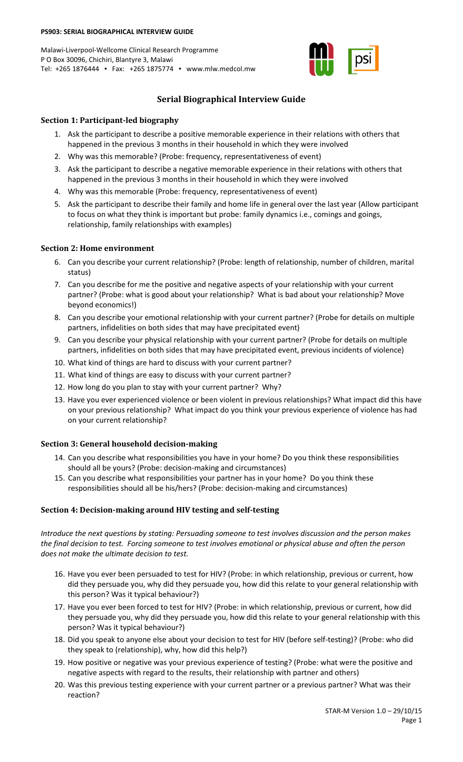### **PS903: SERIAL BIOGRAPHICAL INTERVIEW GUIDE**

Malawi-Liverpool-Wellcome Clinical Research Programme P O Box 30096, Chichiri, Blantyre 3, Malawi Tel: +265 1876444 ▪ Fax: +265 1875774 ▪ www.mlw.medcol.mw



# **Serial Biographical Interview Guide**

# **Section 1: Participant-led biography**

- 1. Ask the participant to describe a positive memorable experience in their relations with others that happened in the previous 3 months in their household in which they were involved
- 2. Why was this memorable? (Probe: frequency, representativeness of event)
- 3. Ask the participant to describe a negative memorable experience in their relations with others that happened in the previous 3 months in their household in which they were involved
- 4. Why was this memorable (Probe: frequency, representativeness of event)
- 5. Ask the participant to describe their family and home life in general over the last year (Allow participant to focus on what they think is important but probe: family dynamics i.e., comings and goings, relationship, family relationships with examples)

# **Section 2: Home environment**

- 6. Can you describe your current relationship? (Probe: length of relationship, number of children, marital status)
- 7. Can you describe for me the positive and negative aspects of your relationship with your current partner? (Probe: what is good about your relationship? What is bad about your relationship? Move beyond economics!)
- 8. Can you describe your emotional relationship with your current partner? (Probe for details on multiple partners, infidelities on both sides that may have precipitated event)
- 9. Can you describe your physical relationship with your current partner? (Probe for details on multiple partners, infidelities on both sides that may have precipitated event, previous incidents of violence)
- 10. What kind of things are hard to discuss with your current partner?
- 11. What kind of things are easy to discuss with your current partner?
- 12. How long do you plan to stay with your current partner? Why?
- 13. Have you ever experienced violence or been violent in previous relationships? What impact did this have on your previous relationship? What impact do you think your previous experience of violence has had on your current relationship?

## **Section 3: General household decision-making**

- 14. Can you describe what responsibilities you have in your home? Do you think these responsibilities should all be yours? (Probe: decision-making and circumstances)
- 15. Can you describe what responsibilities your partner has in your home? Do you think these responsibilities should all be his/hers? (Probe: decision-making and circumstances)

# **Section 4: Decision-making around HIV testing and self-testing**

*Introduce the next questions by stating: Persuading someone to test involves discussion and the person makes the final decision to test. Forcing someone to test involves emotional or physical abuse and often the person does not make the ultimate decision to test.* 

- 16. Have you ever been persuaded to test for HIV? (Probe: in which relationship, previous or current, how did they persuade you, why did they persuade you, how did this relate to your general relationship with this person? Was it typical behaviour?)
- 17. Have you ever been forced to test for HIV? (Probe: in which relationship, previous or current, how did they persuade you, why did they persuade you, how did this relate to your general relationship with this person? Was it typical behaviour?)
- 18. Did you speak to anyone else about your decision to test for HIV (before self-testing)? (Probe: who did they speak to (relationship), why, how did this help?)
- 19. How positive or negative was your previous experience of testing? (Probe: what were the positive and negative aspects with regard to the results, their relationship with partner and others)
- 20. Was this previous testing experience with your current partner or a previous partner? What was their reaction?